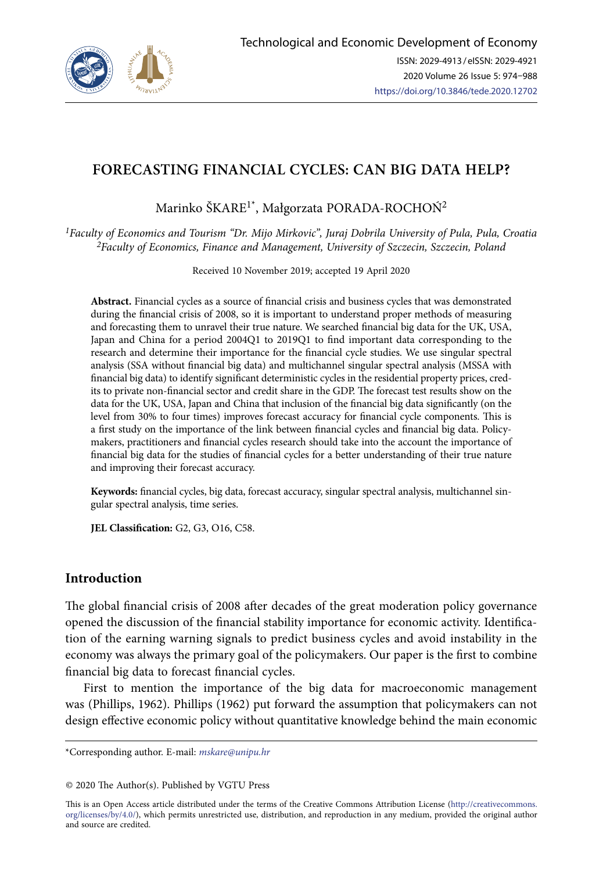

# **FORECASTING FINANCIAL CYCLES: CAN BIG DATA HELP?**

Marinko ŠKARE<sup>1\*</sup>, Małgorzata PORADA-ROCHOŃ<sup>2</sup>

*1Faculty of Economics and Tourism "Dr. Mijo Mirkovic", Juraj Dobrila University of Pula, Pula, Croatia 2Faculty of Economics, Finance and Management, University of Szczecin, Szczecin, Poland*

Received 10 November 2019; accepted 19 April 2020

**Abstract.** Financial cycles as a source of financial crisis and business cycles that was demonstrated during the financial crisis of 2008, so it is important to understand proper methods of measuring and forecasting them to unravel their true nature. We searched financial big data for the UK, USA, Japan and China for a period 2004Q1 to 2019Q1 to find important data corresponding to the research and determine their importance for the financial cycle studies. We use singular spectral analysis (SSA without financial big data) and multichannel singular spectral analysis (MSSA with financial big data) to identify significant deterministic cycles in the residential property prices, credits to private non-financial sector and credit share in the GDP. The forecast test results show on the data for the UK, USA, Japan and China that inclusion of the financial big data significantly (on the level from 30% to four times) improves forecast accuracy for financial cycle components. This is a first study on the importance of the link between financial cycles and financial big data. Policymakers, practitioners and financial cycles research should take into the account the importance of financial big data for the studies of financial cycles for a better understanding of their true nature and improving their forecast accuracy.

**Keywords:** financial cycles, big data, forecast accuracy, singular spectral analysis, multichannel singular spectral analysis, time series.

**JEL Classification:** G2, G3, O16, C58.

## **Introduction**

The global financial crisis of 2008 after decades of the great moderation policy governance opened the discussion of the financial stability importance for economic activity. Identification of the earning warning signals to predict business cycles and avoid instability in the economy was always the primary goal of the policymakers. Our paper is the first to combine financial big data to forecast financial cycles.

First to mention the importance of the big data for macroeconomic management was (Phillips, 1962). Phillips (1962) put forward the assumption that policymakers can not design effective economic policy without quantitative knowledge behind the main economic

This is an Open Access article distributed under the terms of the Creative Commons Attribution License ([http://creativecommons.](http://dx.doi.org/10.1016/S0377-2217(03)00091-2) [org/licenses/by/4.0/\)](http://dx.doi.org/10.1016/S0377-2217(03)00091-2), which permits unrestricted use, distribution, and reproduction in any medium, provided the original author and source are credited.

<sup>\*</sup>Corresponding author. E-mail: *mskare@unipu.hr*

<sup>© 2020</sup> The Author(s). Published by VGTU Press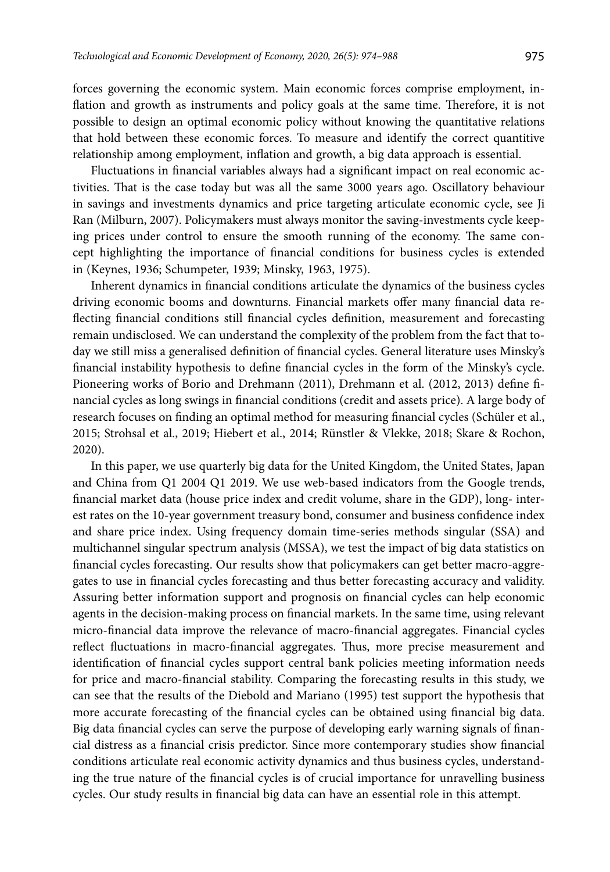forces governing the economic system. Main economic forces comprise employment, inflation and growth as instruments and policy goals at the same time. Therefore, it is not possible to design an optimal economic policy without knowing the quantitative relations that hold between these economic forces. To measure and identify the correct quantitive relationship among employment, inflation and growth, a big data approach is essential.

Fluctuations in financial variables always had a significant impact on real economic activities. That is the case today but was all the same 3000 years ago. Oscillatory behaviour in savings and investments dynamics and price targeting articulate economic cycle, see Ji Ran (Milburn, 2007). Policymakers must always monitor the saving-investments cycle keeping prices under control to ensure the smooth running of the economy. The same concept highlighting the importance of financial conditions for business cycles is extended in (Keynes, 1936; Schumpeter, 1939; Minsky, 1963, 1975).

Inherent dynamics in financial conditions articulate the dynamics of the business cycles driving economic booms and downturns. Financial markets offer many financial data reflecting financial conditions still financial cycles definition, measurement and forecasting remain undisclosed. We can understand the complexity of the problem from the fact that today we still miss a generalised definition of financial cycles. General literature uses Minsky's financial instability hypothesis to define financial cycles in the form of the Minsky's cycle. Pioneering works of Borio and Drehmann (2011), Drehmann et al. (2012, 2013) define financial cycles as long swings in financial conditions (credit and assets price). A large body of research focuses on finding an optimal method for measuring financial cycles (Schüler et al., 2015; Strohsal et al., 2019; Hiebert et al., 2014; Rünstler & Vlekke, 2018; Skare & Rochon, 2020).

In this paper, we use quarterly big data for the United Kingdom, the United States, Japan and China from Q1 2004 Q1 2019. We use web-based indicators from the Google trends, financial market data (house price index and credit volume, share in the GDP), long- interest rates on the 10-year government treasury bond, consumer and business confidence index and share price index. Using frequency domain time-series methods singular (SSA) and multichannel singular spectrum analysis (MSSA), we test the impact of big data statistics on financial cycles forecasting. Our results show that policymakers can get better macro-aggregates to use in financial cycles forecasting and thus better forecasting accuracy and validity. Assuring better information support and prognosis on financial cycles can help economic agents in the decision-making process on financial markets. In the same time, using relevant micro-financial data improve the relevance of macro-financial aggregates. Financial cycles reflect fluctuations in macro-financial aggregates. Thus, more precise measurement and identification of financial cycles support central bank policies meeting information needs for price and macro-financial stability. Comparing the forecasting results in this study, we can see that the results of the Diebold and Mariano (1995) test support the hypothesis that more accurate forecasting of the financial cycles can be obtained using financial big data. Big data financial cycles can serve the purpose of developing early warning signals of financial distress as a financial crisis predictor. Since more contemporary studies show financial conditions articulate real economic activity dynamics and thus business cycles, understanding the true nature of the financial cycles is of crucial importance for unravelling business cycles. Our study results in financial big data can have an essential role in this attempt.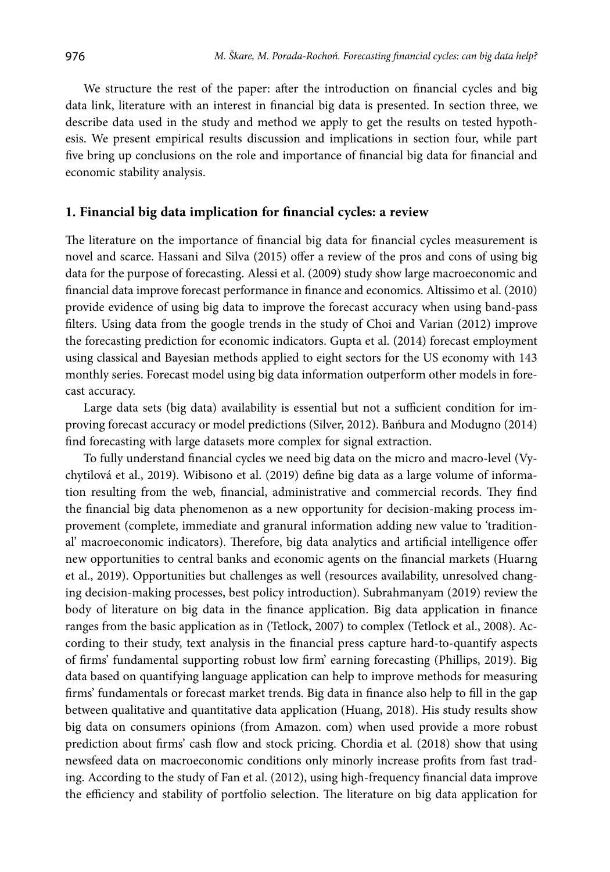We structure the rest of the paper: after the introduction on financial cycles and big data link, literature with an interest in financial big data is presented. In section three, we describe data used in the study and method we apply to get the results on tested hypothesis. We present empirical results discussion and implications in section four, while part five bring up conclusions on the role and importance of financial big data for financial and economic stability analysis.

#### **1. Financial big data implication for financial cycles: a review**

The literature on the importance of financial big data for financial cycles measurement is novel and scarce. Hassani and Silva (2015) offer a review of the pros and cons of using big data for the purpose of forecasting. Alessi et al. (2009) study show large macroeconomic and financial data improve forecast performance in finance and economics. Altissimo et al. (2010) provide evidence of using big data to improve the forecast accuracy when using band-pass filters. Using data from the google trends in the study of Choi and Varian (2012) improve the forecasting prediction for economic indicators. Gupta et al. (2014) forecast employment using classical and Bayesian methods applied to eight sectors for the US economy with 143 monthly series. Forecast model using big data information outperform other models in forecast accuracy.

Large data sets (big data) availability is essential but not a sufficient condition for improving forecast accuracy or model predictions (Silver, 2012). Bańbura and Modugno (2014) find forecasting with large datasets more complex for signal extraction.

To fully understand financial cycles we need big data on the micro and macro-level (Vychytilová et al., 2019). Wibisono et al. (2019) define big data as a large volume of information resulting from the web, financial, administrative and commercial records. They find the financial big data phenomenon as a new opportunity for decision-making process improvement (complete, immediate and granural information adding new value to 'traditional' macroeconomic indicators). Therefore, big data analytics and artificial intelligence offer new opportunities to central banks and economic agents on the financial markets (Huarng et al., 2019). Opportunities but challenges as well (resources availability, unresolved changing decision-making processes, best policy introduction). Subrahmanyam (2019) review the body of literature on big data in the finance application. Big data application in finance ranges from the basic application as in (Tetlock, 2007) to complex (Tetlock et al., 2008). According to their study, text analysis in the financial press capture hard-to-quantify aspects of firms' fundamental supporting robust low firm' earning forecasting (Phillips, 2019). Big data based on quantifying language application can help to improve methods for measuring firms' fundamentals or forecast market trends. Big data in finance also help to fill in the gap between qualitative and quantitative data application (Huang, 2018). His study results show big data on consumers opinions (from Amazon. com) when used provide a more robust prediction about firms' cash flow and stock pricing. Chordia et al. (2018) show that using newsfeed data on macroeconomic conditions only minorly increase profits from fast trading. According to the study of Fan et al. (2012), using high-frequency financial data improve the efficiency and stability of portfolio selection. The literature on big data application for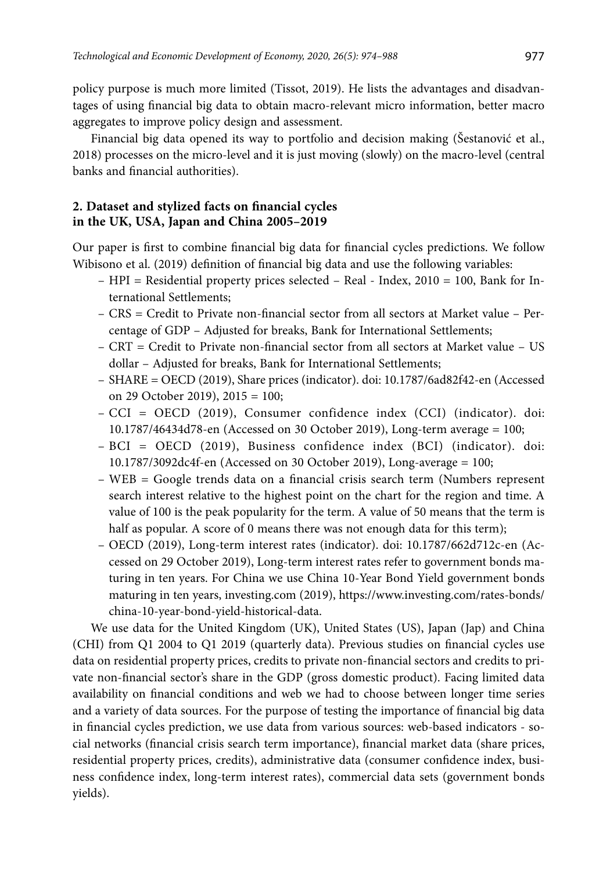policy purpose is much more limited (Tissot, 2019). He lists the advantages and disadvantages of using financial big data to obtain macro-relevant micro information, better macro aggregates to improve policy design and assessment.

Financial big data opened its way to portfolio and decision making (Šestanović et al., 2018) processes on the micro-level and it is just moving (slowly) on the macro-level (central banks and financial authorities).

## **2. Dataset and stylized facts on financial cycles in the UK, USA, Japan and China 2005–2019**

Our paper is first to combine financial big data for financial cycles predictions. We follow Wibisono et al. (2019) definition of financial big data and use the following variables:

- HPI = Residential property prices selected Real Index, 2010 = 100, Bank for International Settlements;
- CRS = Credit to Private non-financial sector from all sectors at Market value Percentage of GDP – Adjusted for breaks, Bank for International Settlements;
- $-CRT = C$ redit to Private non-financial sector from all sectors at Market value US dollar – Adjusted for breaks, Bank for International Settlements;
- SHARE = OECD (2019), Share prices (indicator). doi: 10.1787/6ad82f42-en (Accessed on 29 October 2019), 2015 = 100;
- CCI = OECD (2019), Consumer confidence index (CCI) (indicator). doi: 10.1787/46434d78-en (Accessed on 30 October 2019), Long-term average = 100;
- BCI = OECD (2019), Business confidence index (BCI) (indicator). doi: 10.1787/3092dc4f-en (Accessed on 30 October 2019), Long-average = 100;
- WEB = Google trends data on a financial crisis search term (Numbers represent search interest relative to the highest point on the chart for the region and time. A value of 100 is the peak popularity for the term. A value of 50 means that the term is half as popular. A score of 0 means there was not enough data for this term);
- OECD (2019), Long-term interest rates (indicator). doi: 10.1787/662d712c-en (Accessed on 29 October 2019), Long-term interest rates refer to government bonds maturing in ten years. For China we use China 10-Year Bond Yield government bonds maturing in ten years, investing.com (2019), [https://www.investing.com/rates-bonds/](https://www.investing.com/rates-bonds/china-10-year-bond-yield-historical-data) [china-10-year-bond-yield-historical-data](https://www.investing.com/rates-bonds/china-10-year-bond-yield-historical-data).

We use data for the United Kingdom (UK), United States (US), Japan (Jap) and China (CHI) from Q1 2004 to Q1 2019 (quarterly data). Previous studies on financial cycles use data on residential property prices, credits to private non-financial sectors and credits to private non-financial sector's share in the GDP (gross domestic product). Facing limited data availability on financial conditions and web we had to choose between longer time series and a variety of data sources. For the purpose of testing the importance of financial big data in financial cycles prediction, we use data from various sources: web-based indicators - social networks (financial crisis search term importance), financial market data (share prices, residential property prices, credits), administrative data (consumer confidence index, business confidence index, long-term interest rates), commercial data sets (government bonds yields).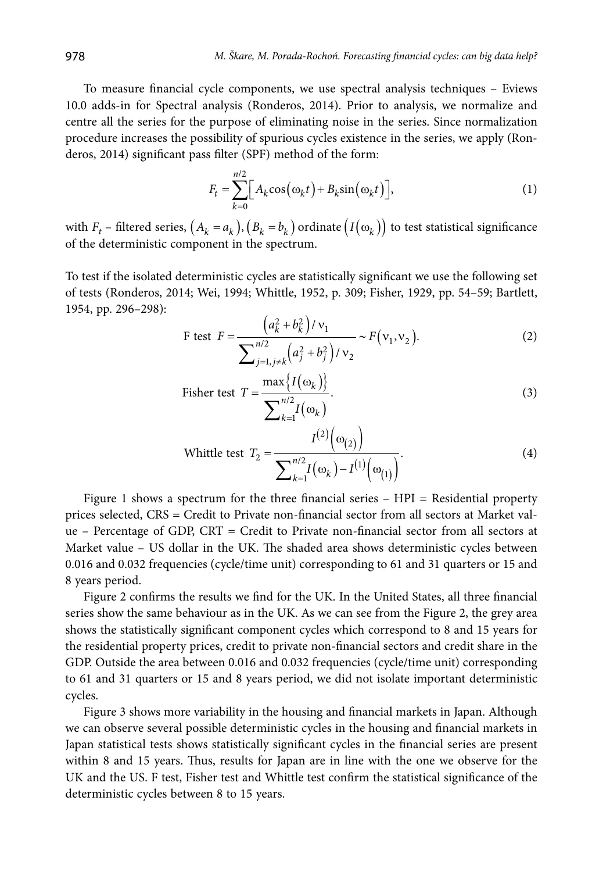To measure financial cycle components, we use spectral analysis techniques – Eviews 10.0 adds-in for Spectral analysis (Ronderos, 2014). Prior to analysis, we normalize and centre all the series for the purpose of eliminating noise in the series. Since normalization procedure increases the possibility of spurious cycles existence in the series, we apply (Ronderos, 2014) significant pass filter (SPF) method of the form:

$$
F_t = \sum_{k=0}^{n/2} \Big[ A_k \cos(\omega_k t) + B_k \sin(\omega_k t) \Big],\tag{1}
$$

with  $F_t$  – filtered series,  $(A_k = a_k)$ ,  $(B_k = b_k)$  ordinate  $(I(\omega_k))$  to test statistical significance of the deterministic component in the spectrum.

To test if the isolated deterministic cycles are statistically significant we use the following set of tests (Ronderos, 2014; Wei, 1994; Whittle, 1952, p. 309; Fisher, 1929, pp. 54–59; Bartlett, 1954, pp. 296–298):

F test 
$$
F = \frac{(a_k^2 + b_k^2)/v_1}{\sum_{j=1, j\neq k}^{n/2} (a_j^2 + b_j^2)/v_2} \sim F(v_1, v_2).
$$
 (2)

Fisher test 
$$
T = \frac{\max\{I(\omega_k)\}}{\sum_{k=1}^{n/2} I(\omega_k)}.
$$
 (3)

White test

\n
$$
T_2 = \frac{I^{(2)}(\omega_{(2)})}{\sum_{k=1}^{n/2} I(\omega_k) - I^{(1)}(\omega_{(1)})}.
$$
\n(4)

Figure 1 shows a spectrum for the three financial series  $-$  HPI  $=$  Residential property prices selected, CRS = Credit to Private non-financial sector from all sectors at Market value – Percentage of GDP, CRT = Credit to Private non-financial sector from all sectors at Market value – US dollar in the UK. The shaded area shows deterministic cycles between 0.016 and 0.032 frequencies (cycle/time unit) corresponding to 61 and 31 quarters or 15 and 8 years period.

Figure 2 confirms the results we find for the UK. In the United States, all three financial series show the same behaviour as in the UK. As we can see from the Figure 2, the grey area shows the statistically significant component cycles which correspond to 8 and 15 years for the residential property prices, credit to private non-financial sectors and credit share in the GDP. Outside the area between 0.016 and 0.032 frequencies (cycle/time unit) corresponding to 61 and 31 quarters or 15 and 8 years period, we did not isolate important deterministic cycles.

Figure 3 shows more variability in the housing and financial markets in Japan. Although we can observe several possible deterministic cycles in the housing and financial markets in Japan statistical tests shows statistically significant cycles in the financial series are present within 8 and 15 years. Thus, results for Japan are in line with the one we observe for the UK and the US. F test, Fisher test and Whittle test confirm the statistical significance of the deterministic cycles between 8 to 15 years.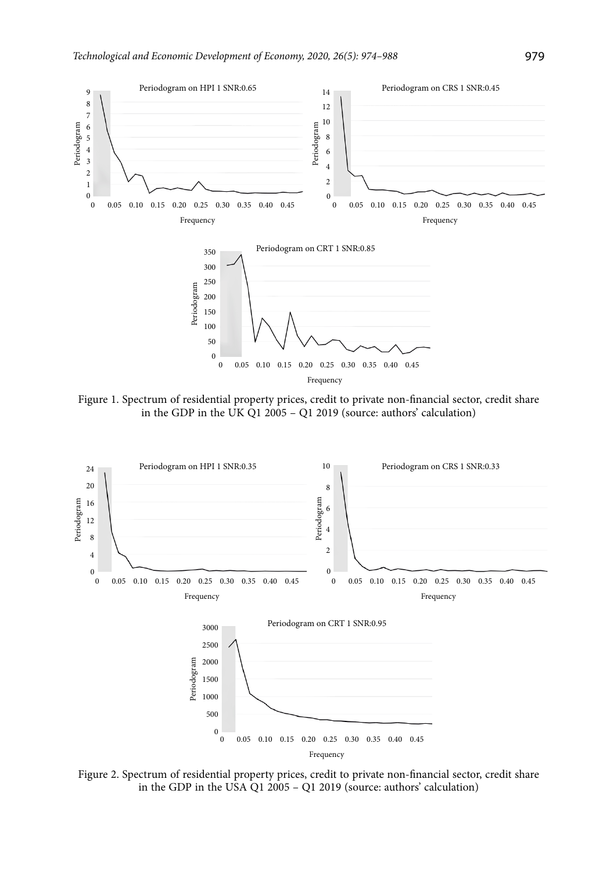

Figure 1. Spectrum of residential property prices, credit to private non-financial sector, credit share in the GDP in the UK Q1 2005 – Q1 2019 (source: authors' calculation)



Figure 2. Spectrum of residential property prices, credit to private non-financial sector, credit share in the GDP in the USA Q1 2005 – Q1 2019 (source: authors' calculation)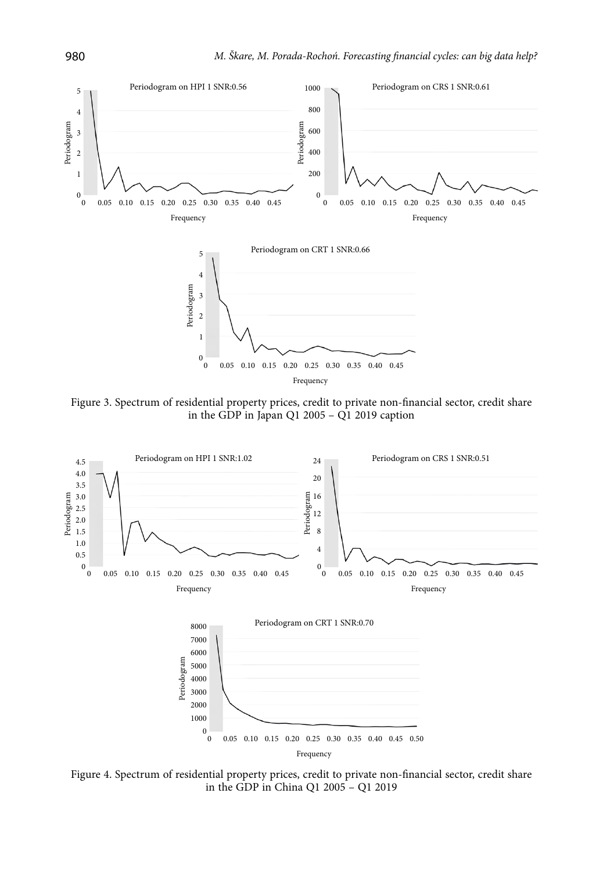

Figure 3. Spectrum of residential property prices, credit to private non-financial sector, credit share in the GDP in Japan Q1 2005 – Q1 2019 caption



Figure 4. Spectrum of residential property prices, credit to private non-financial sector, credit share in the GDP in China Q1 2005 – Q1 2019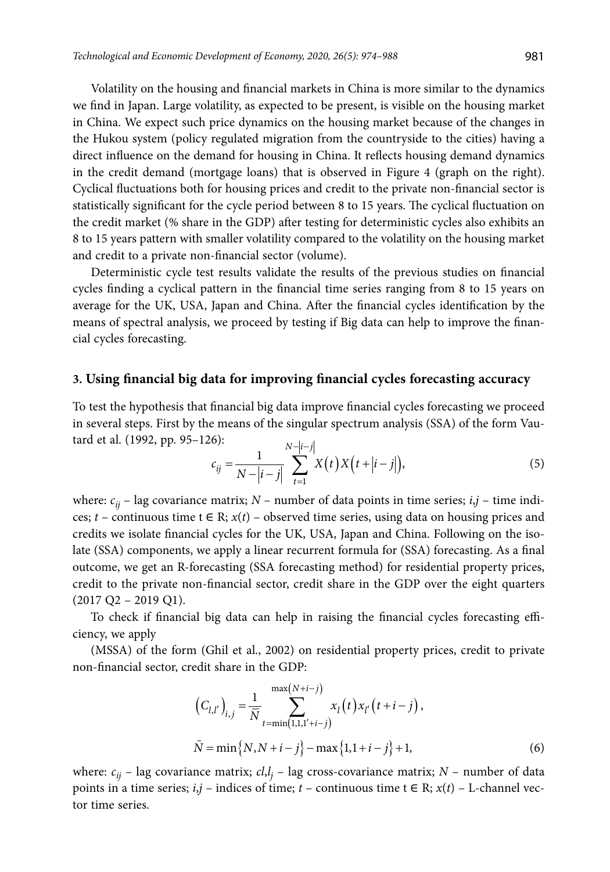Volatility on the housing and financial markets in China is more similar to the dynamics we find in Japan. Large volatility, as expected to be present, is visible on the housing market in China. We expect such price dynamics on the housing market because of the changes in the Hukou system (policy regulated migration from the countryside to the cities) having a direct influence on the demand for housing in China. It reflects housing demand dynamics in the credit demand (mortgage loans) that is observed in Figure 4 (graph on the right). Cyclical fluctuations both for housing prices and credit to the private non-financial sector is statistically significant for the cycle period between 8 to 15 years. The cyclical fluctuation on the credit market (% share in the GDP) after testing for deterministic cycles also exhibits an 8 to 15 years pattern with smaller volatility compared to the volatility on the housing market and credit to a private non-financial sector (volume).

Deterministic cycle test results validate the results of the previous studies on financial cycles finding a cyclical pattern in the financial time series ranging from 8 to 15 years on average for the UK, USA, Japan and China. After the financial cycles identification by the means of spectral analysis, we proceed by testing if Big data can help to improve the financial cycles forecasting.

## **3. Using financial big data for improving financial cycles forecasting accuracy**

To test the hypothesis that financial big data improve financial cycles forecasting we proceed in several steps. First by the means of the singular spectrum analysis (SSA) of the form Vautard et al. (1992, pp. 95–126):

$$
c_{ij} = \frac{1}{N - |i - j|} \sum_{t=1}^{N - |i - j|} X(t) X(t + |i - j|),
$$
\n(5)

where:  $c_{ii}$  – lag covariance matrix;  $N$  – number of data points in time series;  $i, j$  – time indices;  $t$  – continuous time  $t \in \mathbb{R}$ ;  $x(t)$  – observed time series, using data on housing prices and credits we isolate financial cycles for the UK, USA, Japan and China. Following on the isolate (SSA) components, we apply a linear recurrent formula for (SSA) forecasting. As a final outcome, we get an R-forecasting (SSA forecasting method) for residential property prices, credit to the private non-financial sector, credit share in the GDP over the eight quarters  $(2017 \text{ Q}2 - 2019 \text{ Q}1).$ 

To check if financial big data can help in raising the financial cycles forecasting efficiency, we apply

(MSSA) of the form (Ghil et al., 2002) on residential property prices, credit to private non-financial sector, credit share in the GDP:

$$
(C_{l,l'})_{i,j} = \frac{1}{\overline{N}} \sum_{t=\min(1,1,1'+i-j)}^{\max(N+i-j)} x_l(t) x_{l'}(t+i-j),
$$
  

$$
\tilde{N} = \min\{N, N+i-j\} - \max\{1,1+i-j\} + 1,
$$
 (6)

where: *cij* – lag covariance matrix; *cl*,*l j* – lag cross-covariance matrix; *N* – number of data points in a time series; *i*,*j* – indices of time; *t* – continuous time  $t \in R$ ; *x*(*t*) – L-channel vector time series.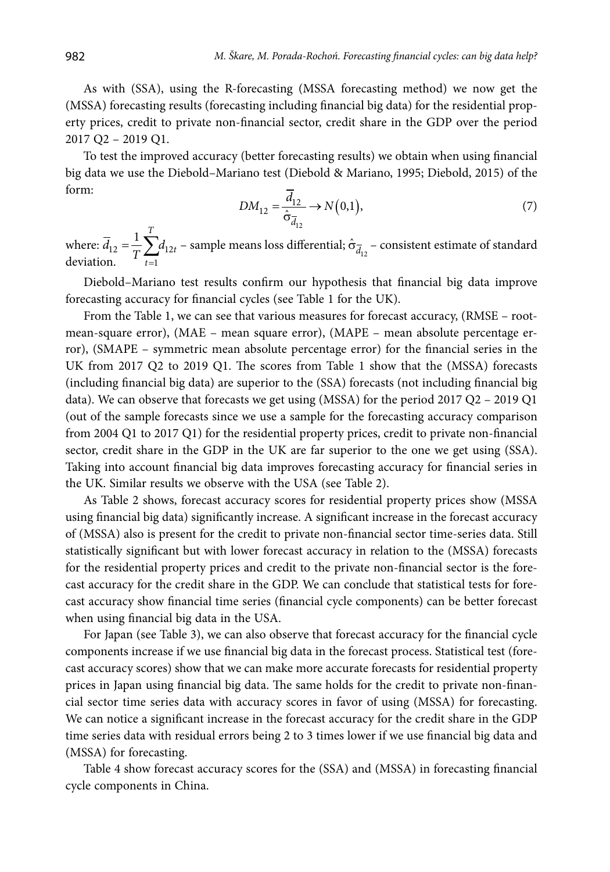As with (SSA), using the R-forecasting (MSSA forecasting method) we now get the (MSSA) forecasting results (forecasting including financial big data) for the residential property prices, credit to private non-financial sector, credit share in the GDP over the period 2017 Q2 – 2019 Q1.

To test the improved accuracy (better forecasting results) we obtain when using financial big data we use the Diebold–Mariano test (Diebold & Mariano, 1995; Diebold, 2015) of the form:

$$
DM_{12} = \frac{d_{12}}{\hat{\sigma}_{\overline{d}_{12}}} \to N(0,1),\tag{7}
$$

where:  $d_{12} = \frac{1}{T} \sum d_{12}$ 1  $1 \frac{T}{2}$  $\overline{d}_{12} = \frac{1}{T} \sum_{t=1} d_{12t}$  – sample means loss differential;  $\hat{\sigma}_{\overline{d}_{12}}$  – consistent estimate of standard on. *t* deviation.

Diebold–Mariano test results confirm our hypothesis that financial big data improve forecasting accuracy for financial cycles (see Table 1 for the UK).

From the Table 1, we can see that various measures for forecast accuracy, (RMSE – rootmean-square error), (MAE – mean square error), (MAPE – mean absolute percentage error), (SMAPE – symmetric mean absolute percentage error) for the financial series in the UK from 2017 Q2 to 2019 Q1. The scores from Table 1 show that the (MSSA) forecasts (including financial big data) are superior to the (SSA) forecasts (not including financial big data). We can observe that forecasts we get using (MSSA) for the period 2017 Q2 – 2019 Q1 (out of the sample forecasts since we use a sample for the forecasting accuracy comparison from 2004 Q1 to 2017 Q1) for the residential property prices, credit to private non-financial sector, credit share in the GDP in the UK are far superior to the one we get using (SSA). Taking into account financial big data improves forecasting accuracy for financial series in the UK. Similar results we observe with the USA (see Table 2).

As Table 2 shows, forecast accuracy scores for residential property prices show (MSSA using financial big data) significantly increase. A significant increase in the forecast accuracy of (MSSA) also is present for the credit to private non-financial sector time-series data. Still statistically significant but with lower forecast accuracy in relation to the (MSSA) forecasts for the residential property prices and credit to the private non-financial sector is the forecast accuracy for the credit share in the GDP. We can conclude that statistical tests for forecast accuracy show financial time series (financial cycle components) can be better forecast when using financial big data in the USA.

For Japan (see Table 3), we can also observe that forecast accuracy for the financial cycle components increase if we use financial big data in the forecast process. Statistical test (forecast accuracy scores) show that we can make more accurate forecasts for residential property prices in Japan using financial big data. The same holds for the credit to private non-financial sector time series data with accuracy scores in favor of using (MSSA) for forecasting. We can notice a significant increase in the forecast accuracy for the credit share in the GDP time series data with residual errors being 2 to 3 times lower if we use financial big data and (MSSA) for forecasting.

Table 4 show forecast accuracy scores for the (SSA) and (MSSA) in forecasting financial cycle components in China.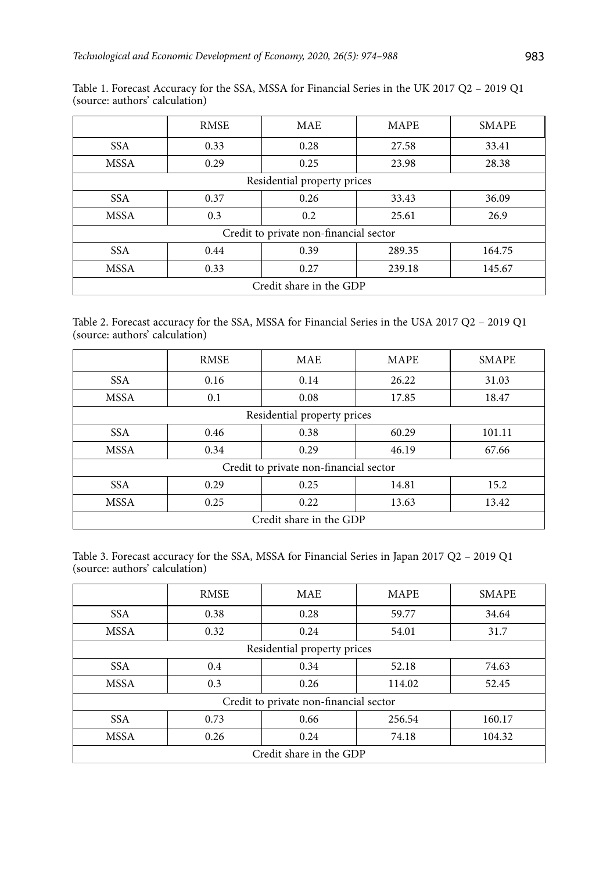|                                        | <b>RMSE</b> | <b>MAE</b> | <b>MAPE</b> | <b>SMAPE</b> |
|----------------------------------------|-------------|------------|-------------|--------------|
| <b>SSA</b>                             | 0.33        | 0.28       | 27.58       | 33.41        |
| <b>MSSA</b>                            | 0.29        | 0.25       | 23.98       | 28.38        |
| Residential property prices            |             |            |             |              |
| SSA.                                   | 0.37        | 0.26       | 33.43       | 36.09        |
| <b>MSSA</b>                            | 0.3         | 0.2        | 25.61       | 26.9         |
| Credit to private non-financial sector |             |            |             |              |
| SS A                                   | 0.44        | 0.39       | 289.35      | 164.75       |
| <b>MSSA</b>                            | 0.33        | 0.27       | 239.18      | 145.67       |
| Credit share in the GDP                |             |            |             |              |

Table 1. Forecast Accuracy for the SSA, MSSA for Financial Series in the UK 2017 Q2 – 2019 Q1 (source: authors' calculation)

Table 2. Forecast accuracy for the SSA, MSSA for Financial Series in the USA 2017 Q2 – 2019 Q1 (source: authors' calculation)

|                                        | <b>RMSE</b> | <b>MAE</b> | <b>MAPE</b> | <b>SMAPE</b> |  |
|----------------------------------------|-------------|------------|-------------|--------------|--|
| <b>SSA</b>                             | 0.16        | 0.14       | 26.22       | 31.03        |  |
| <b>MSSA</b>                            | 0.1         | 0.08       | 17.85       | 18.47        |  |
| Residential property prices            |             |            |             |              |  |
| <b>SSA</b>                             | 0.46        | 0.38       | 60.29       | 101.11       |  |
| <b>MSSA</b>                            | 0.34        | 0.29       | 46.19       | 67.66        |  |
| Credit to private non-financial sector |             |            |             |              |  |
| <b>SSA</b>                             | 0.29        | 0.25       | 14.81       | 15.2         |  |
| <b>MSSA</b>                            | 0.25        | 0.22       | 13.63       | 13.42        |  |
| Credit share in the GDP                |             |            |             |              |  |

Table 3. Forecast accuracy for the SSA, MSSA for Financial Series in Japan 2017 Q2 – 2019 Q1 (source: authors' calculation)

|                                        | <b>RMSE</b> | <b>MAE</b> | <b>MAPE</b> | <b>SMAPE</b> |  |
|----------------------------------------|-------------|------------|-------------|--------------|--|
| <b>SSA</b>                             | 0.38        | 0.28       | 59.77       | 34.64        |  |
| <b>MSSA</b>                            | 0.32        | 0.24       | 54.01       | 31.7         |  |
| Residential property prices            |             |            |             |              |  |
| <b>SSA</b>                             | 0.4         | 0.34       | 52.18       | 74.63        |  |
| <b>MSSA</b>                            | 0.3         | 0.26       | 114.02      | 52.45        |  |
| Credit to private non-financial sector |             |            |             |              |  |
| <b>SSA</b>                             | 0.73        | 0.66       | 256.54      | 160.17       |  |
| <b>MSSA</b>                            | 0.26        | 0.24       | 74.18       | 104.32       |  |
| Credit share in the GDP                |             |            |             |              |  |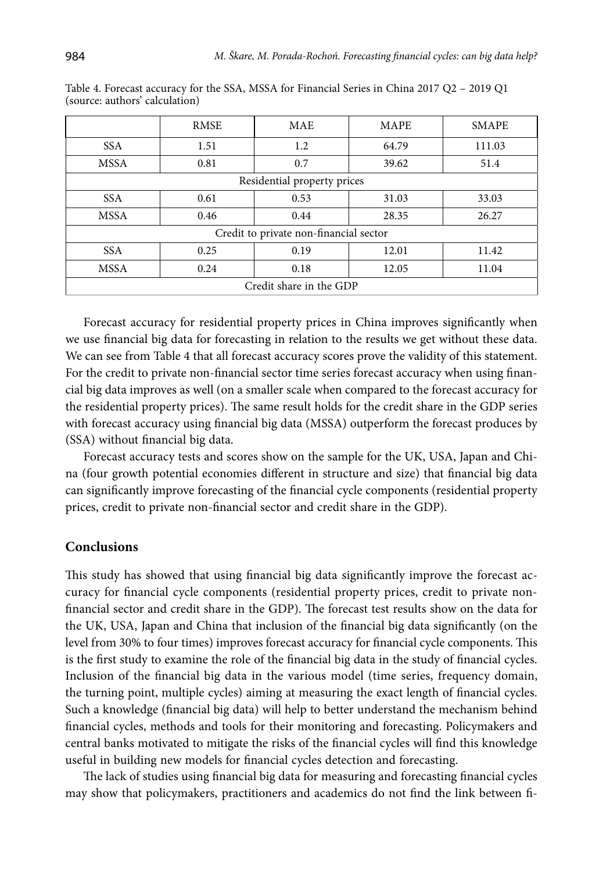|                                        | <b>RMSE</b> | <b>MAE</b> | <b>MAPE</b> | <b>SMAPE</b> |  |
|----------------------------------------|-------------|------------|-------------|--------------|--|
| <b>SSA</b>                             | 1.51        | 1.2        | 64.79       | 111.03       |  |
| <b>MSSA</b>                            | 0.81        | 0.7        | 39.62       | 51.4         |  |
| Residential property prices            |             |            |             |              |  |
| <b>SSA</b>                             | 0.61        | 0.53       | 31.03       | 33.03        |  |
| <b>MSSA</b>                            | 0.46        | 0.44       | 28.35       | 26.27        |  |
| Credit to private non-financial sector |             |            |             |              |  |
| <b>SSA</b>                             | 0.25        | 0.19       | 12.01       | 11.42        |  |
| <b>MSSA</b>                            | 0.24        | 0.18       | 12.05       | 11.04        |  |
| Credit share in the GDP                |             |            |             |              |  |

Table 4. Forecast accuracy for the SSA, MSSA for Financial Series in China 2017 Q2 – 2019 Q1 (source: authors' calculation)

Forecast accuracy for residential property prices in China improves significantly when we use financial big data for forecasting in relation to the results we get without these data. We can see from Table 4 that all forecast accuracy scores prove the validity of this statement. For the credit to private non-financial sector time series forecast accuracy when using financial big data improves as well (on a smaller scale when compared to the forecast accuracy for the residential property prices). The same result holds for the credit share in the GDP series with forecast accuracy using financial big data (MSSA) outperform the forecast produces by (SSA) without financial big data.

Forecast accuracy tests and scores show on the sample for the UK, USA, Japan and China (four growth potential economies different in structure and size) that financial big data can significantly improve forecasting of the financial cycle components (residential property prices, credit to private non-financial sector and credit share in the GDP).

#### **Conclusions**

This study has showed that using financial big data significantly improve the forecast accuracy for financial cycle components (residential property prices, credit to private nonfinancial sector and credit share in the GDP). The forecast test results show on the data for the UK, USA, Japan and China that inclusion of the financial big data significantly (on the level from 30% to four times) improves forecast accuracy for financial cycle components. This is the first study to examine the role of the financial big data in the study of financial cycles. Inclusion of the financial big data in the various model (time series, frequency domain, the turning point, multiple cycles) aiming at measuring the exact length of financial cycles. Such a knowledge (financial big data) will help to better understand the mechanism behind financial cycles, methods and tools for their monitoring and forecasting. Policymakers and central banks motivated to mitigate the risks of the financial cycles will find this knowledge useful in building new models for financial cycles detection and forecasting.

The lack of studies using financial big data for measuring and forecasting financial cycles may show that policymakers, practitioners and academics do not find the link between fi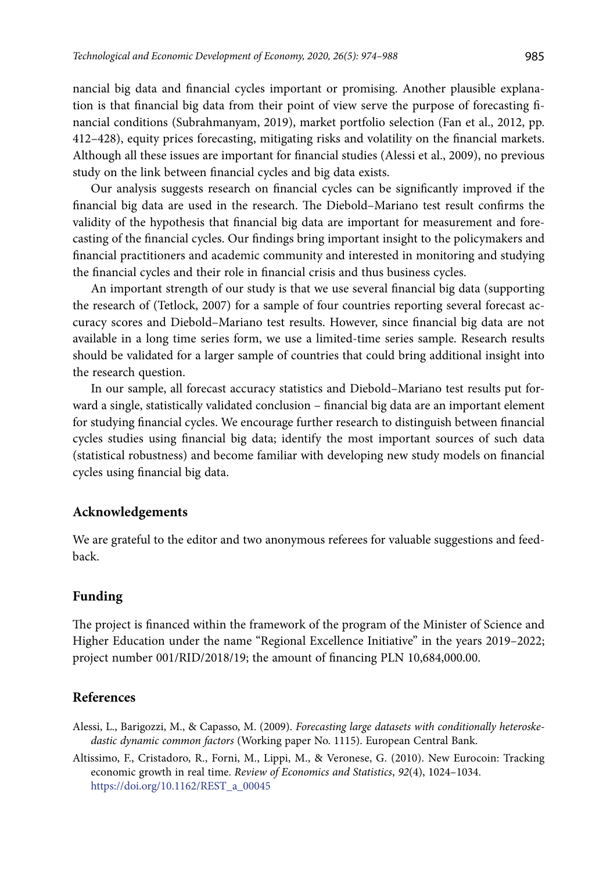nancial big data and financial cycles important or promising. Another plausible explanation is that financial big data from their point of view serve the purpose of forecasting financial conditions (Subrahmanyam, 2019), market portfolio selection (Fan et al., 2012, pp. 412–428), equity prices forecasting, mitigating risks and volatility on the financial markets. Although all these issues are important for financial studies (Alessi et al., 2009), no previous study on the link between financial cycles and big data exists.

Our analysis suggests research on financial cycles can be significantly improved if the financial big data are used in the research. The Diebold–Mariano test result confirms the validity of the hypothesis that financial big data are important for measurement and forecasting of the financial cycles. Our findings bring important insight to the policymakers and financial practitioners and academic community and interested in monitoring and studying the financial cycles and their role in financial crisis and thus business cycles.

An important strength of our study is that we use several financial big data (supporting the research of (Tetlock, 2007) for a sample of four countries reporting several forecast accuracy scores and Diebold–Mariano test results. However, since financial big data are not available in a long time series form, we use a limited-time series sample. Research results should be validated for a larger sample of countries that could bring additional insight into the research question.

In our sample, all forecast accuracy statistics and Diebold–Mariano test results put forward a single, statistically validated conclusion – financial big data are an important element for studying financial cycles. We encourage further research to distinguish between financial cycles studies using financial big data; identify the most important sources of such data (statistical robustness) and become familiar with developing new study models on financial cycles using financial big data.

#### **Acknowledgements**

We are grateful to the editor and two anonymous referees for valuable suggestions and feedback.

#### **Funding**

The project is financed within the framework of the program of the Minister of Science and Higher Education under the name "Regional Excellence Initiative" in the years 2019–2022; project number 001/RID/2018/19; the amount of financing PLN 10,684,000.00.

#### **References**

- Alessi, L., Barigozzi, M., & Capasso, M. (2009). *Forecasting large datasets with conditionally heteroskedastic dynamic common factors* (Working paper No. 1115). European Central Bank.
- Altissimo, F., Cristadoro, R., Forni, M., Lippi, M., & Veronese, G. (2010). New Eurocoin: Tracking economic growth in real time. *Review of Economics and Statistics*, *92*(4), 1024–1034. [https://doi.org/10.1162/REST\\_a\\_00045](https://doi.org/10.1162/REST_a_00045)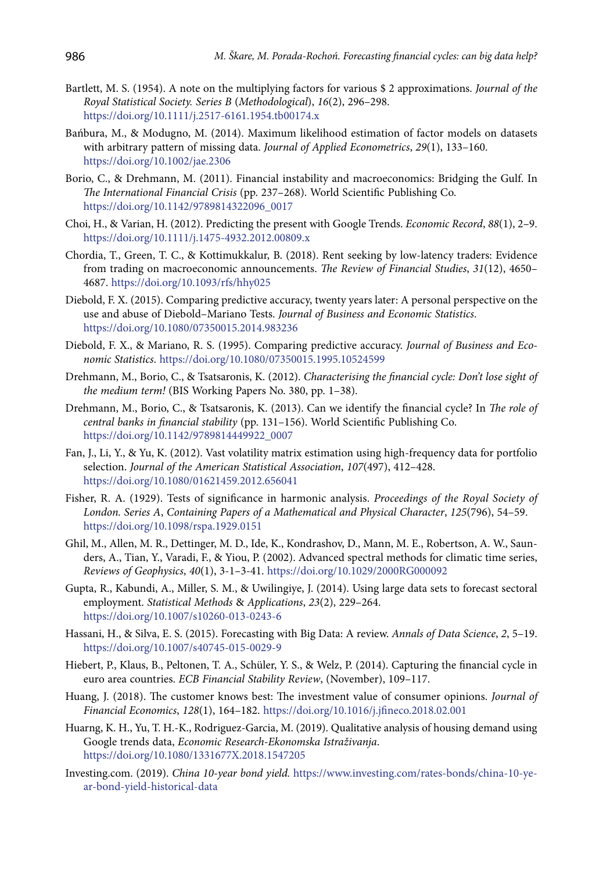- Bartlett, M. S. (1954). A note on the multiplying factors for various \$ 2 approximations. *Journal of the Royal Statistical Society. Series B* (*Methodological*), *16*(2), 296–298. https://doi.org/10.1111/j.2517-6161.1954.tb00174.x
- Bańbura, M., & Modugno, M. (2014). Maximum likelihood estimation of factor models on datasets with arbitrary pattern of missing data. *Journal of Applied Econometrics*, *29*(1), 133–160. <https://doi.org/10.1002/jae.2306>
- Borio, C., & Drehmann, M. (2011). Financial instability and macroeconomics: Bridging the Gulf. In *The International Financial Crisis* (pp. 237–268). World Scientific Publishing Co. [https://doi.org/10.1142/9789814322096\\_0017](https://doi.org/10.1142/9789814322096_0017)
- Choi, H., & Varian, H. (2012). Predicting the present with Google Trends. *Economic Record*, *88*(1), 2–9. <https://doi.org/10.1111/j.1475-4932.2012.00809.x>
- Chordia, T., Green, T. C., & Kottimukkalur, B. (2018). Rent seeking by low-latency traders: Evidence from trading on macroeconomic announcements. *The Review of Financial Studies*, *31*(12), 4650– 4687. <https://doi.org/10.1093/rfs/hhy025>
- Diebold, F. X. (2015). Comparing predictive accuracy, twenty years later: A personal perspective on the use and abuse of Diebold–Mariano Tests. *Journal of Business and Economic Statistics*. <https://doi.org/10.1080/07350015.2014.983236>
- Diebold, F. X., & Mariano, R. S. (1995). Comparing predictive accuracy. *Journal of Business and Economic Statistics*. <https://doi.org/10.1080/07350015.1995.10524599>
- Drehmann, M., Borio, C., & Tsatsaronis, K. (2012). *Characterising the financial cycle: Don't lose sight of the medium term!* (BIS Working Papers No. 380, pp. 1–38).
- Drehmann, M., Borio, C., & Tsatsaronis, K. (2013). Can we identify the financial cycle? In *The role of central banks in financial stability* (pp. 131–156). World Scientific Publishing Co. [https://doi.org/10.1142/9789814449922\\_0007](https://doi.org/10.1142/9789814449922_0007)
- Fan, J., Li, Y., & Yu, K. (2012). Vast volatility matrix estimation using high-frequency data for portfolio selection. *Journal of the American Statistical Association*, *107*(497), 412–428. <https://doi.org/10.1080/01621459.2012.656041>
- Fisher, R. A. (1929). Tests of significance in harmonic analysis. *Proceedings of the Royal Society of London. Series A*, *Containing Papers of a Mathematical and Physical Character*, *125*(796), 54–59. <https://doi.org/10.1098/rspa.1929.0151>
- Ghil, M., Allen, M. R., Dettinger, M. D., Ide, K., Kondrashov, D., Mann, M. E., Robertson, A. W., Saunders, A., Tian, Y., Varadi, F., & Yiou, P. (2002). Advanced spectral methods for climatic time series, *Reviews of Geophysics*, *40*(1), 3-1–3-41. <https://doi.org/10.1029/2000RG000092>
- Gupta, R., Kabundi, A., Miller, S. M., & Uwilingiye, J. (2014). Using large data sets to forecast sectoral employment. *Statistical Methods* & *Applications*, *23*(2), 229–264. <https://doi.org/10.1007/s10260-013-0243-6>
- Hassani, H., & Silva, E. S. (2015). Forecasting with Big Data: A review. *Annals of Data Science*, *2*, 5–19. <https://doi.org/10.1007/s40745-015-0029-9>
- Hiebert, P., Klaus, B., Peltonen, T. A., Schüler, Y. S., & Welz, P. (2014). Capturing the financial cycle in euro area countries. *ECB Financial Stability Review*, (November), 109–117.
- Huang, J. (2018). The customer knows best: The investment value of consumer opinions. *Journal of Financial Economics*, *128*(1), 164–182. <https://doi.org/10.1016/j.jfineco.2018.02.001>
- Huarng, K. H., Yu, T. H.-K., Rodriguez-Garcia, M. (2019). Qualitative analysis of housing demand using Google trends data, *Economic Research-Ekonomska Istraživanja*. <https://doi.org/10.1080/1331677X.2018.1547205>
- Investing.com. (2019). *China 10-year bond yield.* https://www.investing.com/rates-bonds/china-10-year-bond-yield-historical-data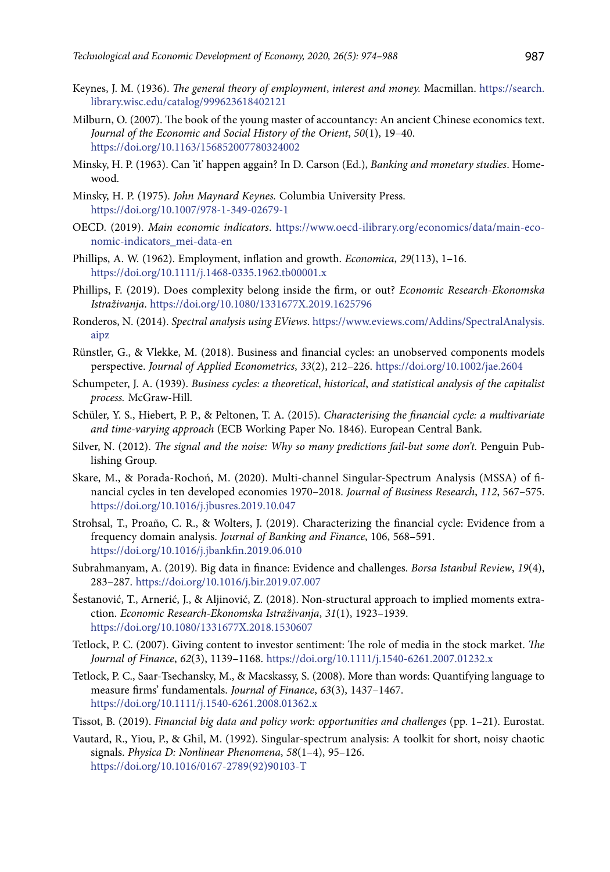- Keynes, J. M. (1936). *The general theory of employment*, *interest and money.* Macmillan. [https://search.](https://search.library.wisc.edu/catalog/999623618402121 ) [library.wisc.edu/catalog/999623618402121](https://search.library.wisc.edu/catalog/999623618402121 )
- Milburn, O. (2007). The book of the young master of accountancy: An ancient Chinese economics text. *Journal of the Economic and Social History of the Orient*, *50*(1), 19–40. <https://doi.org/10.1163/156852007780324002>
- Minsky, H. P. (1963). Can 'it' happen aggain? In D. Carson (Ed.), *Banking and monetary studies*. Homewood.
- Minsky, H. P. (1975). *John Maynard Keynes.* Columbia University Press. <https://doi.org/10.1007/978-1-349-02679-1>
- OECD. (2019). *Main economic indicators*. [https://www.oecd-ilibrary.org/economics/data/main-eco](https://www.oecd-ilibrary.org/economics/data/main-economic-indicators_mei-data-en)[nomic-indicators\\_mei-data-en](https://www.oecd-ilibrary.org/economics/data/main-economic-indicators_mei-data-en)
- Phillips, A. W. (1962). Employment, inflation and growth. *Economica*, *29*(113), 1–16. <https://doi.org/10.1111/j.1468-0335.1962.tb00001.x>
- Phillips, F. (2019). Does complexity belong inside the firm, or out? *Economic Research-Ekonomska Istraživanja*. <https://doi.org/10.1080/1331677X.2019.1625796>
- Ronderos, N. (2014). *Spectral analysis using EViews*. [https://www.eviews.com/Addins/SpectralAnalysis.](https://www.eviews.com/Addins/SpectralAnalysis.aipz.) [aipz](https://www.eviews.com/Addins/SpectralAnalysis.aipz.)
- Rünstler, G., & Vlekke, M. (2018). Business and financial cycles: an unobserved components models perspective. *Journal of Applied Econometrics*, *33*(2), 212–226. <https://doi.org/10.1002/jae.2604>
- Schumpeter, J. A. (1939). *Business cycles: a theoretical*, *historical*, *and statistical analysis of the capitalist process.* McGraw-Hill.
- Schüler, Y. S., Hiebert, P. P., & Peltonen, T. A. (2015). *Characterising the financial cycle: a multivariate and time-varying approach* (ECB Working Paper No. 1846). European Central Bank.
- Silver, N. (2012). *The signal and the noise: Why so many predictions fail-but some don't.* Penguin Publishing Group.
- Skare, M., & Porada-Rochoń, M. (2020). Multi-channel Singular-Spectrum Analysis (MSSA) of financial cycles in ten developed economies 1970–2018. *Journal of Business Research*, *112*, 567–575. <https://doi.org/10.1016/j.jbusres.2019.10.047>
- Strohsal, T., Proaño, C. R., & Wolters, J. (2019). Characterizing the financial cycle: Evidence from a frequency domain analysis. *Journal of Banking and Finance*, 106, 568–591. <https://doi.org/10.1016/j.jbankfin.2019.06.010>
- Subrahmanyam, A. (2019). Big data in finance: Evidence and challenges. *Borsa Istanbul Review*, *19*(4), 283–287. <https://doi.org/10.1016/j.bir.2019.07.007>
- Šestanović, T., Arnerić, J., & Aljinović, Z. (2018). Non-structural approach to implied moments extraction. *Economic Research-Ekonomska Istraživanja*, *31*(1), 1923–1939. <https://doi.org/10.1080/1331677X.2018.1530607>
- Tetlock, P. C. (2007). Giving content to investor sentiment: The role of media in the stock market. *The Journal of Finance*, *62*(3), 1139–1168. <https://doi.org/10.1111/j.1540-6261.2007.01232.x>
- Tetlock, P. C., Saar-Tsechansky, M., & Macskassy, S. (2008). More than words: Quantifying language to measure firms' fundamentals. *Journal of Finance*, *63*(3), 1437–1467. <https://doi.org/10.1111/j.1540-6261.2008.01362.x>
- Tissot, B. (2019). *Financial big data and policy work: opportunities and challenges* (pp. 1–21). Eurostat.
- Vautard, R., Yiou, P., & Ghil, M. (1992). Singular-spectrum analysis: A toolkit for short, noisy chaotic signals. *Physica D: Nonlinear Phenomena*, *58*(1–4), 95–126. [https://doi.org/10.1016/0167-2789\(92\)90103-T](https://doi.org/10.1016/0167-2789(92)90103-T)